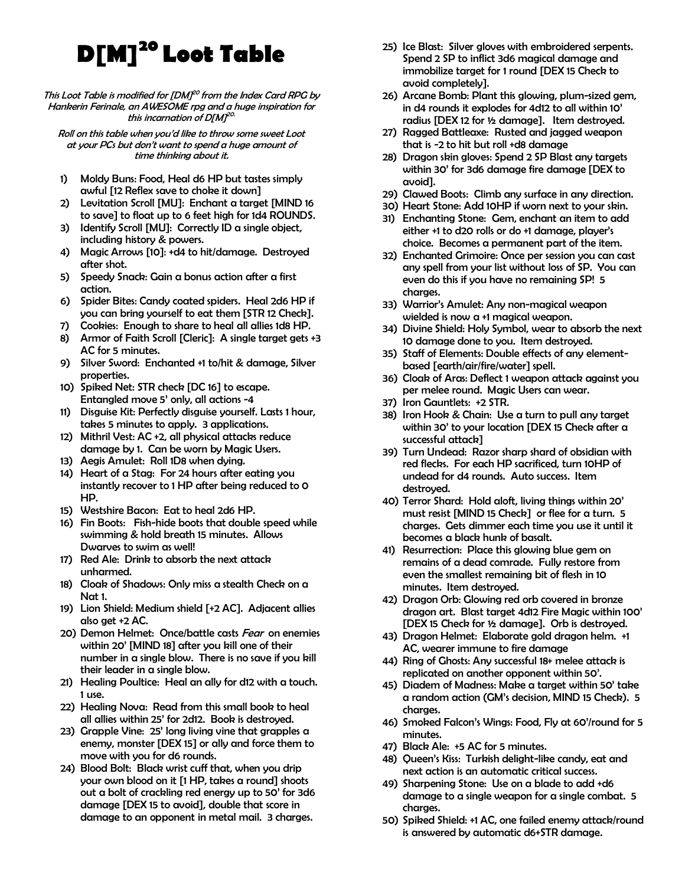## **D[M]<sup>20</sup>Loot Table**

## This Loot Table is modified for  $[DM]^{20}$  from the Index Card RPG by Hankerin Ferinale, an AWESOME rpg and a huge inspiration for this incarnation of D[M]<sup>20.</sup>

Roll on this table when you'd like to throw some sweet Loot at your PCs but don't want to spend a huge amount of time thinking about it.

- 1) Moldy Buns: Food, Heal d6 HP but tastes simply awful [12 Reflex save to choke it down]
- 2) Levitation Scroll [MU]: Enchant a target [MIND 16 to save] to float up to 6 feet high for 1d4 ROUNDS.
- 3) Identify Scroll [MU]: Correctly ID a single object, including history & powers.
- 4) Magic Arrows [10]: +d4 to hit/damage. Destroyed after shot.
- 5) Speedy Snack: Gain a bonus action after a first action.
- 6) Spider Bites: Candy coated spiders. Heal 2d6 HP if you can bring yourself to eat them [STR 12 Check].
- 7) Cookies: Enough to share to heal all allies 1d8 HP.
- 8) Armor of Faith Scroll [Cleric]: A single target gets +3 AC for 5 minutes.
- 9) Silver Sword: Enchanted +1 to/hit & damage, Silver properties.
- 10) Spiked Net: STR check [DC 16] to escape. Entangled move 5' only, all actions -4
- 11) Disguise Kit: Perfectly disguise yourself. Lasts 1 hour, takes 5 minutes to apply. 3 applications.
- 12) Mithril Vest: AC +2, all physical attacks reduce damage by 1. Can be worn by Magic Users.
- 13) Aegis Amulet: Roll 1D8 when dying.
- 14) Heart of a Stag: For 24 hours after eating you instantly recover to 1 HP after being reduced to 0 HP.
- 15) Westshire Bacon: Eat to heal 2d6 HP.
- 16) Fin Boots: Fish-hide boots that double speed while swimming & hold breath 15 minutes. Allows Dwarves to swim as well!
- 17) Red Ale: Drink to absorb the next attack unharmed.
- 18) Cloak of Shadows: Only miss a stealth Check on a Nat 1.
- 19) Lion Shield: Medium shield [+2 AC]. Adjacent allies also get +2 AC.
- 20) Demon Helmet: Once/battle casts Fear on enemies within 20' [MIND 18] after you kill one of their number in a single blow. There is no save if you kill their leader in a single blow.
- 21) Healing Poultice: Heal an ally for d12 with a touch. 1 use.
- 22) Healing Nova: Read from this small book to heal all allies within 25' for 2d12. Book is destroyed.
- 23) Grapple Vine: 25' long living vine that grapples a enemy, monster [DEX 15] or ally and force them to move with you for d6 rounds.
- 24) Blood Bolt: Black wrist cuff that, when you drip your own blood on it [1 HP, takes a round] shoots out a bolt of crackling red energy up to 50' for 3d6 damage [DEX 15 to avoid], double that score in damage to an opponent in metal mail. 3 charges.
- 25) Ice Blast: Silver gloves with embroidered serpents. Spend 2 SP to inflict 3d6 magical damage and immobilize target for 1 round [DEX 15 Check to avoid completely].
- 26) Arcane Bomb: Plant this glowing, plum-sized gem, in d4 rounds it explodes for 4d12 to all within 10' radius [DEX 12 for ½ damage]. Item destroyed.
- 27) Ragged Battleaxe: Rusted and jagged weapon that is -2 to hit but roll +d8 damage
- 28) Dragon skin gloves: Spend 2 SP Blast any targets within 30' for 3d6 damage fire damage [DEX to avoid].
- 29) Clawed Boots: Climb any surface in any direction.
- 30) Heart Stone: Add 10HP if worn next to your skin.
- 31) Enchanting Stone: Gem, enchant an item to add either +1 to d20 rolls or do +1 damage, player's choice. Becomes a permanent part of the item.
- 32) Enchanted Grimoire: Once per session you can cast any spell from your list without loss of SP. You can even do this if you have no remaining SP! 5 charges.
- 33) Warrior's Amulet: Any non-magical weapon wielded is now a +1 magical weapon.
- 34) Divine Shield: Holy Symbol, wear to absorb the next 10 damage done to you. Item destroyed.
- 35) Staff of Elements: Double effects of any elementbased [earth/air/fire/water] spell.
- 36) Cloak of Aras: Deflect 1 weapon attack against you per melee round. Magic Users can wear.
- 37) Iron Gauntlets: +2 STR.
- 38) Iron Hook & Chain: Use a turn to pull any target within 30' to your location [DEX 15 Check after a successful attack]
- 39) Turn Undead: Razor sharp shard of obsidian with red flecks. For each HP sacrificed, turn 10HP of undead for d4 rounds. Auto success. Item destroyed.
- 40) Terror Shard: Hold aloft, living things within 20' must resist [MIND 15 Check] or flee for a turn. 5 charges. Gets dimmer each time you use it until it becomes a black hunk of basalt.
- 41) Resurrection: Place this glowing blue gem on remains of a dead comrade. Fully restore from even the smallest remaining bit of flesh in 10 minutes. Item destroyed.
- 42) Dragon Orb: Glowing red orb covered in bronze dragon art. Blast target 4d12 Fire Magic within 100' [DEX 15 Check for ½ damage]. Orb is destroyed.
- 43) Dragon Helmet: Elaborate gold dragon helm. +1 AC, wearer immune to fire damage
- 44) Ring of Ghosts: Any successful 18+ melee attack is replicated on another opponent within 50'.
- 45) Diadem of Madness: Make a target within 50' take a random action (GM's decision, MIND 15 Check). 5 charges.
- 46) Smoked Falcon's Wings: Food, Fly at 60'/round for 5 minutes.
- 47) Black Ale: +5 AC for 5 minutes.
- 48) Queen's Kiss: Turkish delight-like candy, eat and next action is an automatic critical success.
- 49) Sharpening Stone: Use on a blade to add +d6 damage to a single weapon for a single combat. 5 charges.
- 50) Spiked Shield: +1 AC, one failed enemy attack/round is answered by automatic d6+STR damage.